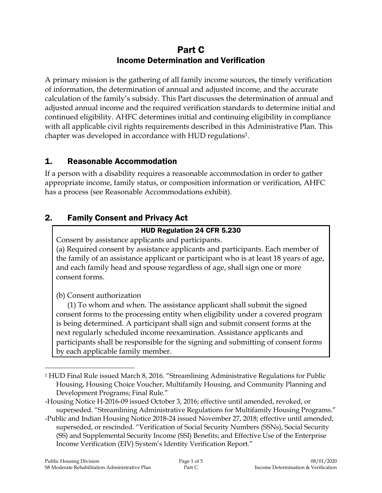# Part C Income Determination and Verification

A primary mission is the gathering of all family income sources, the timely verification of information, the determination of annual and adjusted income, and the accurate calculation of the family's subsidy. This Part discusses the determination of annual and adjusted annual income and the required verification standards to determine initial and continued eligibility. AHFC determines initial and continuing eligibility in compliance with all applicable civil rights requirements described in this Administrative Plan. This chapter was developed in accordance with HUD regulations1.

## 1. Reasonable Accommodation

If a person with a disability requires a reasonable accommodation in order to gather appropriate income, family status, or composition information or verification, AHFC has a process (see Reasonable Accommodations exhibit).

# 2. Family Consent and Privacy Act

## HUD Regulation 24 CFR 5.230

Consent by assistance applicants and participants. (a) Required consent by assistance applicants and participants. Each member of the family of an assistance applicant or participant who is at least 18 years of age, and each family head and spouse regardless of age, shall sign one or more consent forms.

(b) Consent authorization

(1) To whom and when. The assistance applicant shall submit the signed consent forms to the processing entity when eligibility under a covered program is being determined. A participant shall sign and submit consent forms at the next regularly scheduled income reexamination. Assistance applicants and participants shall be responsible for the signing and submitting of consent forms by each applicable family member.

 $\overline{a}$ <sup>1</sup> HUD Final Rule issued March 8, 2016. "Streamlining Administrative Regulations for Public Housing, Housing Choice Voucher, Multifamily Housing, and Community Planning and Development Programs; Final Rule."

<sup>-</sup>Housing Notice H-2016-09 issued October 3, 2016; effective until amended, revoked, or superseded. "Streamlining Administrative Regulations for Multifamily Housing Programs."

<sup>-</sup>Public and Indian Housing Notice 2018-24 issued November 27, 2018; effective until amended, superseded, or rescinded. "Verification of Social Security Numbers (SSNs), Social Security (SS) and Supplemental Security Income (SSI) Benefits; and Effective Use of the Enterprise Income Verification (EIV) System's Identity Verification Report."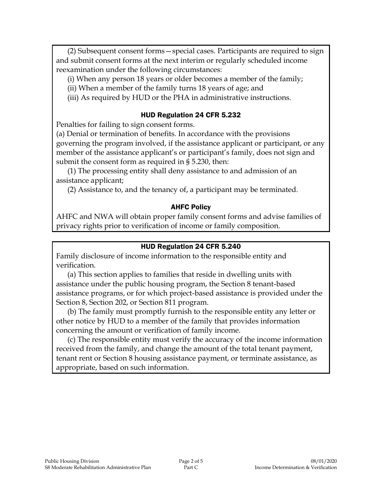(2) Subsequent consent forms—special cases. Participants are required to sign and submit consent forms at the next interim or regularly scheduled income reexamination under the following circumstances:

- (i) When any person 18 years or older becomes a member of the family;
- (ii) When a member of the family turns 18 years of age; and
- (iii) As required by HUD or the PHA in administrative instructions.

#### HUD Regulation 24 CFR 5.232

Penalties for failing to sign consent forms.

(a) Denial or termination of benefits. In accordance with the provisions governing the program involved, if the assistance applicant or participant, or any member of the assistance applicant's or participant's family, does not sign and submit the consent form as required in § 5.230, then:

(1) The processing entity shall deny assistance to and admission of an assistance applicant;

(2) Assistance to, and the tenancy of, a participant may be terminated.

#### AHFC Policy

AHFC and NWA will obtain proper family consent forms and advise families of privacy rights prior to verification of income or family composition.

#### HUD Regulation 24 CFR 5.240

Family disclosure of income information to the responsible entity and verification.

(a) This section applies to families that reside in dwelling units with assistance under the public housing program, the Section 8 tenant-based assistance programs, or for which project-based assistance is provided under the Section 8, Section 202, or Section 811 program.

(b) The family must promptly furnish to the responsible entity any letter or other notice by HUD to a member of the family that provides information concerning the amount or verification of family income.

(c) The responsible entity must verify the accuracy of the income information received from the family, and change the amount of the total tenant payment, tenant rent or Section 8 housing assistance payment, or terminate assistance, as appropriate, based on such information.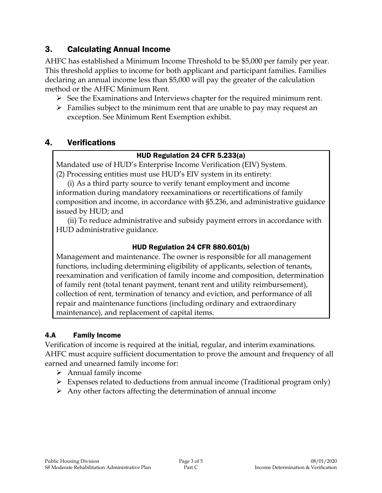## 3. Calculating Annual Income

AHFC has established a Minimum Income Threshold to be \$5,000 per family per year. This threshold applies to income for both applicant and participant families. Families declaring an annual income less than \$5,000 will pay the greater of the calculation method or the AHFC Minimum Rent.

- $\triangleright$  See the Examinations and Interviews chapter for the required minimum rent.
- $\triangleright$  Families subject to the minimum rent that are unable to pay may request an exception. See Minimum Rent Exemption exhibit.

## 4. Verifications

#### HUD Regulation 24 CFR 5.233(a)

Mandated use of HUD's Enterprise Income Verification (EIV) System. (2) Processing entities must use HUD's EIV system in its entirety:

(i) As a third party source to verify tenant employment and income information during mandatory reexaminations or recertifications of family composition and income, in accordance with §5.236, and administrative guidance issued by HUD; and

(ii) To reduce administrative and subsidy payment errors in accordance with HUD administrative guidance.

## HUD Regulation 24 CFR 880.601(b)

Management and maintenance. The owner is responsible for all management functions, including determining eligibility of applicants, selection of tenants, reexamination and verification of family income and composition, determination of family rent (total tenant payment, tenant rent and utility reimbursement), collection of rent, termination of tenancy and eviction, and performance of all repair and maintenance functions (including ordinary and extraordinary maintenance), and replacement of capital items.

## 4.A Family Income

Verification of income is required at the initial, regular, and interim examinations. AHFC must acquire sufficient documentation to prove the amount and frequency of all earned and unearned family income for:

- $\triangleright$  Annual family income
- $\triangleright$  Expenses related to deductions from annual income (Traditional program only)
- $\triangleright$  Any other factors affecting the determination of annual income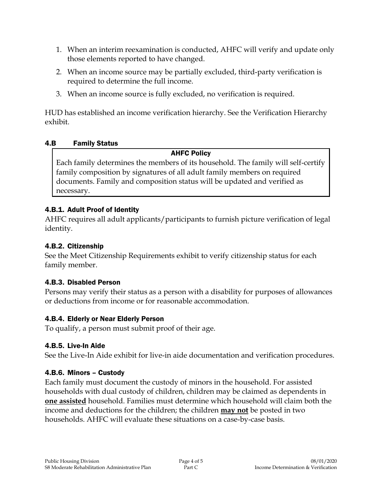- 1. When an interim reexamination is conducted, AHFC will verify and update only those elements reported to have changed.
- 2. When an income source may be partially excluded, third-party verification is required to determine the full income.
- 3. When an income source is fully excluded, no verification is required.

HUD has established an income verification hierarchy. See the Verification Hierarchy exhibit.

#### 4.B Family Status

#### AHFC Policy

Each family determines the members of its household. The family will self-certify family composition by signatures of all adult family members on required documents. Family and composition status will be updated and verified as necessary.

## 4.B.1. Adult Proof of Identity

AHFC requires all adult applicants/participants to furnish picture verification of legal identity.

#### 4.B.2. Citizenship

See the Meet Citizenship Requirements exhibit to verify citizenship status for each family member.

## 4.B.3. Disabled Person

Persons may verify their status as a person with a disability for purposes of allowances or deductions from income or for reasonable accommodation.

## 4.B.4. Elderly or Near Elderly Person

To qualify, a person must submit proof of their age.

## 4.B.5. Live-In Aide

See the Live-In Aide exhibit for live-in aide documentation and verification procedures.

## 4.B.6. Minors – Custody

Each family must document the custody of minors in the household. For assisted households with dual custody of children, children may be claimed as dependents in **one assisted** household. Families must determine which household will claim both the income and deductions for the children; the children **may not** be posted in two households. AHFC will evaluate these situations on a case-by-case basis.